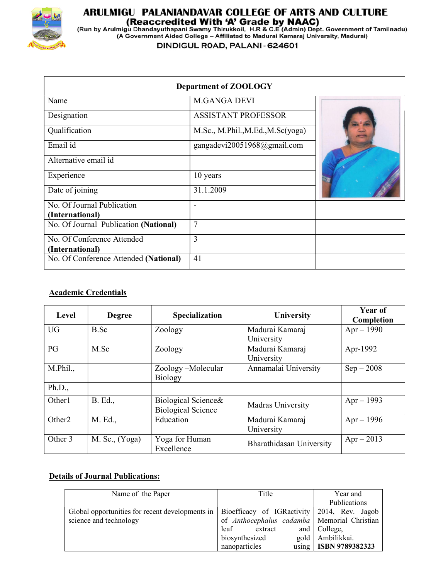

# ARULMIGU PALANIANDAVAR COLLEGE OF ARTS AND CULTURE

(Reaccredited With 'A' Grade by NAAC)<br>(Reaccredited With 'A' Grade by NAAC)<br>(Run by Arulmigu Dhandayuthapani Swamy Thirukkoil, H.R & C.E (Admin) Dept. Government of Tamilnadu)<br>(A Government Aided College – Affiliated to Ma

DINDIGUL ROAD, PALANI - 624601

| <b>Department of ZOOLOGY</b>          |                                   |  |  |  |  |
|---------------------------------------|-----------------------------------|--|--|--|--|
| Name                                  | <b>M.GANGA DEVI</b>               |  |  |  |  |
| Designation                           | <b>ASSISTANT PROFESSOR</b>        |  |  |  |  |
| Qualification                         | M.Sc., M.Phil., M.Ed., M.Sc(yoga) |  |  |  |  |
| Email id                              | gangadevi20051968@gmail.com       |  |  |  |  |
| Alternative email id                  |                                   |  |  |  |  |
| Experience                            | 10 years                          |  |  |  |  |
| Date of joining                       | 31.1.2009                         |  |  |  |  |
| No. Of Journal Publication            |                                   |  |  |  |  |
| (International)                       |                                   |  |  |  |  |
| No. Of Journal Publication (National) | $\overline{7}$                    |  |  |  |  |
| No. Of Conference Attended            | 3                                 |  |  |  |  |
| (International)                       |                                   |  |  |  |  |
| No. Of Conference Attended (National) | 41                                |  |  |  |  |

## Academic Credentials

| Level              | <b>Degree</b>      | Specialization                                   | <b>University</b>             | Year of<br>Completion |
|--------------------|--------------------|--------------------------------------------------|-------------------------------|-----------------------|
| <b>UG</b>          | B.Sc               | Zoology                                          | Madurai Kamaraj<br>University | $Apr - 1990$          |
| PG                 | M.Sc               | Zoology                                          | Madurai Kamaraj<br>University | Apr-1992              |
| M.Phil.,           |                    | Zoology-Molecular<br><b>Biology</b>              | Annamalai University          | $Sep-2008$            |
| Ph.D.,             |                    |                                                  |                               |                       |
| Other1             | B. Ed.,            | Biological Science&<br><b>Biological Science</b> | Madras University             | $Apr - 1993$          |
| Other <sub>2</sub> | M. Ed.,            | Education                                        | Madurai Kamaraj<br>University | $Apr - 1996$          |
| Other 3            | $M.$ Sc., $(Yoga)$ | Yoga for Human<br>Excellence                     | Bharathidasan University      | $Apr - 2013$          |

## Details of Journal Publications:

| Name of the Paper                               | Title                                         | Year and                |  |
|-------------------------------------------------|-----------------------------------------------|-------------------------|--|
|                                                 |                                               | <b>Publications</b>     |  |
| Global opportunities for recent developments in | Bioefficacy of IGRactivity 2014, Rev. Jagob   |                         |  |
| science and technology                          | of Anthocephalus cadamba   Memorial Christian |                         |  |
|                                                 | extract<br>leaf                               | and   College,          |  |
|                                                 | biosynthesized                                | gold   Ambilikkai.      |  |
|                                                 | nanoparticles                                 | using   ISBN 9789382323 |  |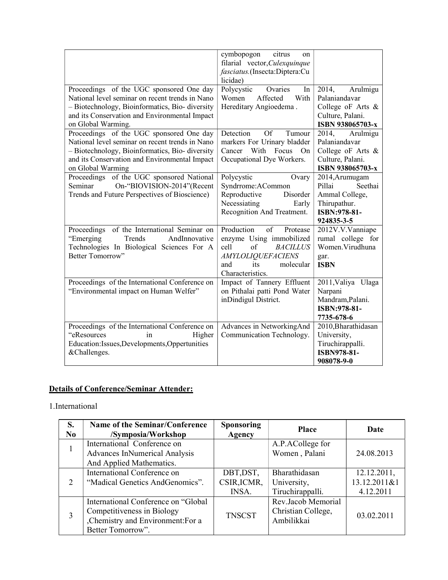|                                                                                                                                                                                                                       | cymbopogon<br>citrus<br><sub>on</sub><br>filarial vector, Culexquinque<br>fasciatus.(Insecta:Diptera:Cu<br>licidae)                                                  |                                                                                                     |
|-----------------------------------------------------------------------------------------------------------------------------------------------------------------------------------------------------------------------|----------------------------------------------------------------------------------------------------------------------------------------------------------------------|-----------------------------------------------------------------------------------------------------|
| Proceedings of the UGC sponsored One day<br>National level seminar on recent trends in Nano<br>- Biotechnology, Bioinformatics, Bio- diversity<br>and its Conservation and Environmental Impact<br>on Global Warming. | Polycystic<br>Ovaries<br>In<br>With<br>Women<br>Affected<br>Hereditary Angioedema.                                                                                   | 2014,<br>Arulmigu<br>Palaniandavar<br>College oF Arts &<br>Culture, Palani.<br>ISBN 938065703-x     |
| Proceedings of the UGC sponsored One day<br>National level seminar on recent trends in Nano<br>- Biotechnology, Bioinformatics, Bio- diversity<br>and its Conservation and Environmental Impact<br>on Global Warming  | Detection<br><b>Of</b><br>Tumour<br>markers For Urinary bladder<br>Cancer<br>With Focus<br>On<br>Occupational Dye Workers.                                           | Arulmigu<br>2014,<br>Palaniandavar<br>College of Arts $\&$<br>Culture, Palani.<br>ISBN 938065703-x  |
| Proceedings of the UGC sponsored National<br>On-"BIOVISION-2014"(Recent<br>Seminar<br>Trends and Future Perspectives of Bioscience)                                                                                   | Polycystic<br>Ovary<br>Syndrrome:ACommon<br>Reproductive<br>Disorder<br>Necessiating<br>Early<br>Recognition And Treatment.                                          | 2014, Arumugam<br>Pillai<br>Seethai<br>Ammal College,<br>Thirupathur.<br>ISBN:978-81-<br>924835-3-5 |
| Proceedings of the International Seminar on<br>"Emerging<br>Trends<br>AndInnovative<br>Technologies In Biological Sciences For A<br>Better Tomorrow"                                                                  | Production<br>of<br>Protease<br>enzyme Using immobilized<br>cell<br>of<br><b>BACILLUS</b><br><b>AMYLOLIQUEFACIENS</b><br>its<br>molecular<br>and<br>Characteristics. | 2012V.V.Vanniape<br>rumal college for<br>Women. Virudhuna<br>gar.<br><b>ISBN</b>                    |
| Proceedings of the International Conference on<br>"Environmental impact on Human Welfer"                                                                                                                              | Impact of Tannery Effluent<br>on Pithalai patti Pond Water<br>inDindigul District.                                                                                   | 2011, Valiya Ulaga<br>Narpani<br>Mandram, Palani.<br>ISBN:978-81-<br>7735-678-6                     |
| Proceedings of the International Conference on<br>"eResources<br>in<br>Higher<br>Education: Issues, Developments, Oppertunities<br>&Challenges.                                                                       | Advances in NetworkingAnd<br>Communication Technology.                                                                                                               | 2010, Bharathidasan<br>University,<br>Tiruchirappalli.<br><b>ISBN978-81-</b><br>908078-9-0          |

## Details of Conference/Seminar Attender:

## 1.International

| S.<br>No      | Name of the Seminar/Conference<br>/Symposia/Workshop                                                                       | <b>Sponsoring</b><br><b>Agency</b> | <b>Place</b>                                           | Date                                     |
|---------------|----------------------------------------------------------------------------------------------------------------------------|------------------------------------|--------------------------------------------------------|------------------------------------------|
|               | International Conference on<br><b>Advances InNumerical Analysis</b><br>And Applied Mathematics.                            |                                    | A.P.ACollege for<br>Women, Palani                      | 24.08.2013                               |
| $\mathcal{D}$ | International Conference on<br>"Madical Genetics AndGenomics".                                                             | DBT, DST,<br>CSIR, ICMR,<br>INSA.  | Bharathidasan<br>University,<br>Tiruchirappalli.       | 12.12.2011,<br>13.12.2011&1<br>4.12.2011 |
| 3             | International Conference on "Global<br>Competitiveness in Biology<br>,Chemistry and Environment:For a<br>Better Tomorrow". | <b>TNSCST</b>                      | Rev.Jacob Memorial<br>Christian College,<br>Ambilikkai | 03.02.2011                               |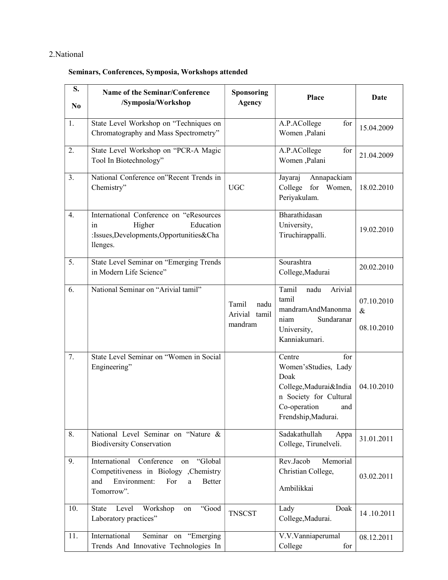## 2.National

#### Seminars, Conferences, Symposia, Workshops attended

| S.<br>N <sub>0</sub> | Name of the Seminar/Conference<br>/Symposia/Workshop                                                                                                     | Sponsoring<br><b>Agency</b>               | Place                                                                                                                                           | Date                             |
|----------------------|----------------------------------------------------------------------------------------------------------------------------------------------------------|-------------------------------------------|-------------------------------------------------------------------------------------------------------------------------------------------------|----------------------------------|
| 1.                   | State Level Workshop on "Techniques on<br>Chromatography and Mass Spectrometry"                                                                          |                                           | A.P.ACollege<br>for<br>Women, Palani                                                                                                            | 15.04.2009                       |
| 2.                   | State Level Workshop on "PCR-A Magic<br>Tool In Biotechnology"                                                                                           |                                           | A.P.ACollege<br>for<br>Women, Palani                                                                                                            | 21.04.2009                       |
| 3.                   | National Conference on"Recent Trends in<br>Chemistry"                                                                                                    | <b>UGC</b>                                | Annapackiam<br>Jayaraj<br>College for Women,<br>Periyakulam.                                                                                    | 18.02.2010                       |
| 4.                   | International Conference on "eResources<br>Higher<br>Education<br>in<br>:Issues,Developments,Opportunities&Cha<br>llenges.                               |                                           | Bharathidasan<br>University,<br>Tiruchirappalli.                                                                                                | 19.02.2010                       |
| 5.                   | State Level Seminar on "Emerging Trends<br>in Modern Life Science"                                                                                       |                                           | Sourashtra<br>College, Madurai                                                                                                                  | 20.02.2010                       |
| 6.                   | National Seminar on "Arivial tamil"                                                                                                                      | Tamil<br>nadu<br>Arivial tamil<br>mandram | Tamil<br>Arivial<br>nadu<br>tamil<br>mandramAndManonma<br>Sundaranar<br>niam<br>University,<br>Kanniakumari.                                    | 07.10.2010<br>$\&$<br>08.10.2010 |
| 7.                   | State Level Seminar on "Women in Social<br>Engineering"                                                                                                  |                                           | Centre<br>for<br>Women'sStudies, Lady<br>Doak<br>College, Madurai&India<br>n Society for Cultural<br>Co-operation<br>and<br>Frendship, Madurai. | 04.10.2010                       |
| 8.                   | National Level Seminar on "Nature &<br><b>Biodiversity Conservation</b>                                                                                  |                                           | Sadakathullah<br>Appa<br>College, Tirunelveli.                                                                                                  | 31.01.2011                       |
| 9.                   | International<br>Conference<br>"Global<br>on<br>Competitiveness in Biology , Chemistry<br>Environment:<br>For<br><b>Better</b><br>and<br>a<br>Tomorrow". |                                           | Rev.Jacob<br>Memorial<br>Christian College,<br>Ambilikkai                                                                                       | 03.02.2011                       |
| 10.                  | Workshop<br>"Good<br>Level<br>State<br>on<br>Laboratory practices"                                                                                       | <b>TNSCST</b>                             | Lady<br>Doak<br>College, Madurai.                                                                                                               | 14.10.2011                       |
| 11.                  | International<br>Seminar on "Emerging<br>Trends And Innovative Technologies In                                                                           |                                           | V.V.Vanniaperumal<br>College<br>for                                                                                                             | 08.12.2011                       |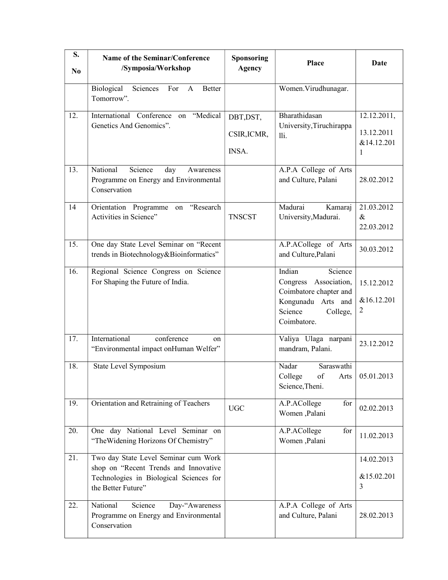| S.<br>N <sub>0</sub> | Name of the Seminar/Conference<br>/Symposia/Workshop                                                                                           | Sponsoring<br><b>Agency</b>       | Place                                                                                                                            | Date                                         |
|----------------------|------------------------------------------------------------------------------------------------------------------------------------------------|-----------------------------------|----------------------------------------------------------------------------------------------------------------------------------|----------------------------------------------|
|                      | Biological<br>Sciences<br>For<br><b>Better</b><br>$\mathbf{A}$<br>Tomorrow".                                                                   |                                   | Women. Virudhunagar.                                                                                                             |                                              |
| 12.                  | International Conference on "Medical<br>Genetics And Genomics".                                                                                | DBT, DST,<br>CSIR, ICMR,<br>INSA. | Bharathidasan<br>University, Tiruchirappa<br>lli.                                                                                | 12.12.2011,<br>13.12.2011<br>&14.12.201<br>1 |
| 13.                  | National<br>Science<br>day<br>Awareness<br>Programme on Energy and Environmental<br>Conservation                                               |                                   | A.P.A College of Arts<br>and Culture, Palani                                                                                     | 28.02.2012                                   |
| 14                   | Orientation Programme on "Research<br>Activities in Science"                                                                                   | <b>TNSCST</b>                     | Madurai<br>Kamaraj<br>University, Madurai.                                                                                       | 21.03.2012<br>&<br>22.03.2012                |
| 15.                  | One day State Level Seminar on "Recent<br>trends in Biotechnology&Bioinformatics"                                                              |                                   | A.P.ACollege of Arts<br>and Culture, Palani                                                                                      | 30.03.2012                                   |
| 16.                  | Regional Science Congress on Science<br>For Shaping the Future of India.                                                                       |                                   | Indian<br>Science<br>Congress Association,<br>Coimbatore chapter and<br>Kongunadu Arts and<br>Science<br>College,<br>Coimbatore. | 15.12.2012<br>&16.12.201<br>2                |
| 17.                  | International<br>conference<br>on<br>"Environmental impact onHuman Welfer"                                                                     |                                   | Valiya Ulaga narpani<br>mandram, Palani.                                                                                         | 23.12.2012                                   |
| 18.                  | State Level Symposium                                                                                                                          |                                   | Nadar<br>Saraswathi<br>College<br>$\circ$ f<br>Science, Theni.                                                                   | Arts $\vert 05.01.2013 \vert$                |
| 19.                  | Orientation and Retraining of Teachers                                                                                                         | <b>UGC</b>                        | A.P.ACollege<br>for<br>Women, Palani                                                                                             | 02.02.2013                                   |
| 20.                  | One day National Level Seminar on<br>"The Widening Horizons Of Chemistry"                                                                      |                                   | A.P.ACollege<br>for<br>Women, Palani                                                                                             | 11.02.2013                                   |
| 21.                  | Two day State Level Seminar cum Work<br>shop on "Recent Trends and Innovative<br>Technologies in Biological Sciences for<br>the Better Future" |                                   |                                                                                                                                  | 14.02.2013<br>&15.02.201<br>3                |
| 22.                  | National<br>Day-"Awareness<br>Science<br>Programme on Energy and Environmental<br>Conservation                                                 |                                   | A.P.A College of Arts<br>and Culture, Palani                                                                                     | 28.02.2013                                   |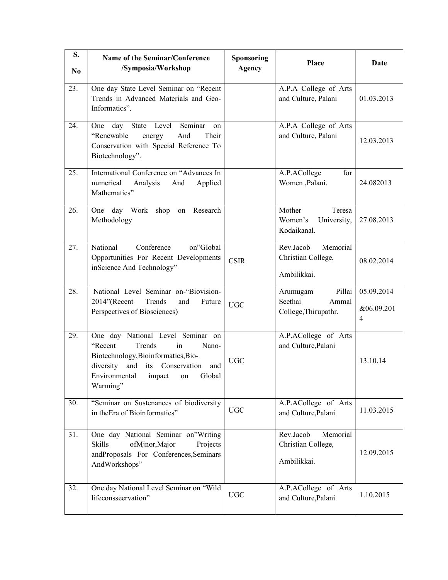| S.<br>N <sub>0</sub> | Name of the Seminar/Conference<br>/Symposia/Workshop                                                                                                                                                             | <b>Sponsoring</b><br><b>Agency</b> | Place                                                          | Date                          |
|----------------------|------------------------------------------------------------------------------------------------------------------------------------------------------------------------------------------------------------------|------------------------------------|----------------------------------------------------------------|-------------------------------|
| 23.                  | One day State Level Seminar on "Recent<br>Trends in Advanced Materials and Geo-<br>Informatics".                                                                                                                 |                                    | A.P.A College of Arts<br>and Culture, Palani                   | 01.03.2013                    |
| 24.                  | day State Level<br>Seminar<br>One<br>on<br>"Renewable<br>Their<br>And<br>energy<br>Conservation with Special Reference To<br>Biotechnology".                                                                     |                                    | A.P.A College of Arts<br>and Culture, Palani                   | 12.03.2013                    |
| 25.                  | International Conference on "Advances In<br>numerical<br>Analysis<br>Applied<br>And<br>Mathematics"                                                                                                              |                                    | A.P.ACollege<br>for<br>Women, Palani.                          | 24.082013                     |
| 26.                  | One day Work shop on Research<br>Methodology                                                                                                                                                                     |                                    | Mother<br>Teresa<br>Women's<br>University,<br>Kodaikanal.      | 27.08.2013                    |
| 27.                  | National<br>Conference<br>on"Global<br>Opportunities For Recent Developments<br>inScience And Technology"                                                                                                        | <b>CSIR</b>                        | Memorial<br>Rev.Jacob<br>Christian College,<br>Ambilikkai.     | 08.02.2014                    |
| 28.                  | National Level Seminar on-"Biovision-<br>2014"(Recent<br>Trends<br>and<br>Future<br>Perspectives of Biosciences)                                                                                                 | <b>UGC</b>                         | Pillai<br>Arumugam<br>Seethai<br>Ammal<br>College, Thirupathr. | 05.09.2014<br>&06.09.201<br>4 |
| 29.                  | One day National Level Seminar on<br>Trends<br>"Recent"<br>in<br>Nano-<br>Biotechnology, Bioinformatics, Bio-<br>and its Conservation<br>diversity<br>and<br>Environmental<br>impact<br>Global<br>on<br>Warming" | <b>UGC</b>                         | A.P.ACollege of Arts<br>and Culture, Palani                    | 13.10.14                      |
| 30.                  | "Seminar on Sustenances of biodiversity<br>in the Era of Bioinformatics"                                                                                                                                         | <b>UGC</b>                         | A.P.ACollege of Arts<br>and Culture, Palani                    | 11.03.2015                    |
| 31.                  | One day National Seminar on"Writing<br>ofMjnor, Major<br><b>Skills</b><br>Projects<br>andProposals For Conferences,Seminars<br>AndWorkshops"                                                                     |                                    | Rev.Jacob<br>Memorial<br>Christian College,<br>Ambilikkai.     | 12.09.2015                    |
| 32.                  | One day National Level Seminar on "Wild<br>lifeconsseervation"                                                                                                                                                   | <b>UGC</b>                         | A.P.ACollege of Arts<br>and Culture, Palani                    | 1.10.2015                     |